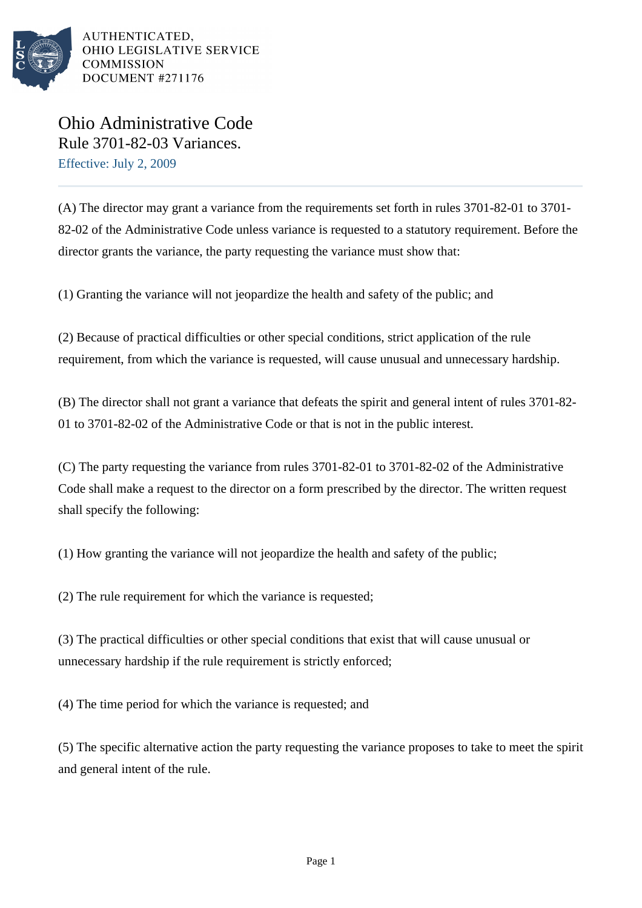

AUTHENTICATED. OHIO LEGISLATIVE SERVICE **COMMISSION** DOCUMENT #271176

Ohio Administrative Code Rule 3701-82-03 Variances. Effective: July 2, 2009

(A) The director may grant a variance from the requirements set forth in rules 3701-82-01 to 3701- 82-02 of the Administrative Code unless variance is requested to a statutory requirement. Before the director grants the variance, the party requesting the variance must show that:

(1) Granting the variance will not jeopardize the health and safety of the public; and

(2) Because of practical difficulties or other special conditions, strict application of the rule requirement, from which the variance is requested, will cause unusual and unnecessary hardship.

(B) The director shall not grant a variance that defeats the spirit and general intent of rules 3701-82- 01 to 3701-82-02 of the Administrative Code or that is not in the public interest.

(C) The party requesting the variance from rules 3701-82-01 to 3701-82-02 of the Administrative Code shall make a request to the director on a form prescribed by the director. The written request shall specify the following:

(1) How granting the variance will not jeopardize the health and safety of the public;

(2) The rule requirement for which the variance is requested;

(3) The practical difficulties or other special conditions that exist that will cause unusual or unnecessary hardship if the rule requirement is strictly enforced;

(4) The time period for which the variance is requested; and

(5) The specific alternative action the party requesting the variance proposes to take to meet the spirit and general intent of the rule.